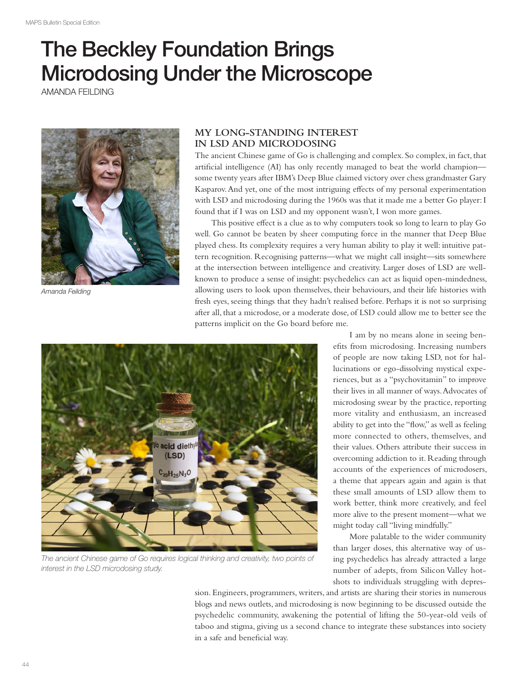## The Beckley Foundation Brings Microdosing Under the Microscope

AMANDA FEILDING



Amanda Feilding

## **MY LONG-STANDING INTEREST IN LSD AND MICRODOSING**

The ancient Chinese game of Go is challenging and complex. So complex, in fact, that artifcial intelligence (AI) has only recently managed to beat the world champion some twenty years after IBM's Deep Blue claimed victory over chess grandmaster Gary Kasparov. And yet, one of the most intriguing efects of my personal experimentation with LSD and microdosing during the 1960s was that it made me a better Go player: I found that if I was on LSD and my opponent wasn't, I won more games.

This positive efect is a clue as to why computers took so long to learn to play Go well. Go cannot be beaten by sheer computing force in the manner that Deep Blue played chess. Its complexity requires a very human ability to play it well: intuitive pattern recognition. Recognising patterns—what we might call insight—sits somewhere at the intersection between intelligence and creativity. Larger doses of LSD are wellknown to produce a sense of insight: psychedelics can act as liquid open-mindedness, allowing users to look upon themselves, their behaviours, and their life histories with fresh eyes, seeing things that they hadn't realised before. Perhaps it is not so surprising after all, that a microdose, or a moderate dose, of LSD could allow me to better see the patterns implicit on the Go board before me.



The ancient Chinese game of Go requires logical thinking and creativity, two points of interest in the LSD microdosing study.

I am by no means alone in seeing benefts from microdosing. Increasing numbers of people are now taking LSD, not for hallucinations or ego-dissolving mystical experiences, but as a "psychovitamin" to improve their lives in all manner of ways. Advocates of microdosing swear by the practice, reporting more vitality and enthusiasm, an increased ability to get into the "fow," as well as feeling more connected to others, themselves, and their values. Others attribute their success in overcoming addiction to it. Reading through accounts of the experiences of microdosers, a theme that appears again and again is that these small amounts of LSD allow them to work better, think more creatively, and feel more alive to the present moment—what we might today call "living mindfully."

More palatable to the wider community than larger doses, this alternative way of using psychedelics has already attracted a large number of adepts, from Silicon Valley hotshots to individuals struggling with depres-

sion. Engineers, programmers, writers, and artists are sharing their stories in numerous blogs and news outlets, and microdosing is now beginning to be discussed outside the psychedelic community, awakening the potential of lifting the 50-year-old veils of taboo and stigma, giving us a second chance to integrate these substances into society in a safe and beneficial way.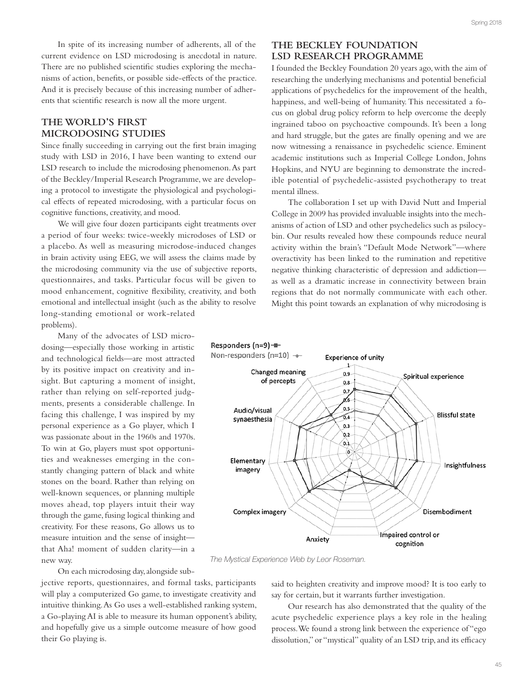In spite of its increasing number of adherents, all of the current evidence on LSD microdosing is anecdotal in nature. There are no published scientifc studies exploring the mechanisms of action, benefts, or possible side-efects of the practice. And it is precisely because of this increasing number of adherents that scientifc research is now all the more urgent.

## **THE WORLD'S FIRST MICRODOSING STUDIES**

Since fnally succeeding in carrying out the frst brain imaging study with LSD in 2016, I have been wanting to extend our LSD research to include the microdosing phenomenon. As part of the Beckley/Imperial Research Programme, we are developing a protocol to investigate the physiological and psychological efects of repeated microdosing, with a particular focus on cognitive functions, creativity, and mood.

We will give four dozen participants eight treatments over a period of four weeks: twice-weekly microdoses of LSD or a placebo. As well as measuring microdose-induced changes in brain activity using EEG, we will assess the claims made by the microdosing community via the use of subjective reports, questionnaires, and tasks. Particular focus will be given to mood enhancement, cognitive fexibility, creativity, and both emotional and intellectual insight (such as the ability to resolve long-standing emotional or work-related problems).

Many of the advocates of LSD microdosing—especially those working in artistic and technological felds—are most attracted by its positive impact on creativity and insight. But capturing a moment of insight, rather than relying on self-reported judgments, presents a considerable challenge. In facing this challenge, I was inspired by my personal experience as a Go player, which I was passionate about in the 1960s and 1970s. To win at Go, players must spot opportunities and weaknesses emerging in the constantly changing pattern of black and white stones on the board. Rather than relying on well-known sequences, or planning multiple moves ahead, top players intuit their way through the game, fusing logical thinking and creativity. For these reasons, Go allows us to measure intuition and the sense of insight that Aha! moment of sudden clarity—in a new way.

On each microdosing day, alongside sub-

jective reports, questionnaires, and formal tasks, participants will play a computerized Go game, to investigate creativity and intuitive thinking. As Go uses a well-established ranking system, a Go-playing AI is able to measure its human opponent's ability, and hopefully give us a simple outcome measure of how good their Go playing is.

## **THE BECKLEY FOUNDATION LSD RESEARCH PROGRAMME**

I founded the Beckley Foundation 20 years ago, with the aim of researching the underlying mechanisms and potential beneficial applications of psychedelics for the improvement of the health, happiness, and well-being of humanity. This necessitated a focus on global drug policy reform to help overcome the deeply ingrained taboo on psychoactive compounds. It's been a long and hard struggle, but the gates are fnally opening and we are now witnessing a renaissance in psychedelic science. Eminent academic institutions such as Imperial College London, Johns Hopkins, and NYU are beginning to demonstrate the incredible potential of psychedelic-assisted psychotherapy to treat mental illness.

The collaboration I set up with David Nutt and Imperial College in 2009 has provided invaluable insights into the mechanisms of action of LSD and other psychedelics such as psilocybin. Our results revealed how these compounds reduce neural activity within the brain's "Default Mode Network"—where overactivity has been linked to the rumination and repetitive negative thinking characteristic of depression and addiction as well as a dramatic increase in connectivity between brain regions that do not normally communicate with each other. Might this point towards an explanation of why microdosing is



The Mystical Experience Web by Leor Roseman.

said to heighten creativity and improve mood? It is too early to say for certain, but it warrants further investigation.

Our research has also demonstrated that the quality of the acute psychedelic experience plays a key role in the healing process. We found a strong link between the experience of "ego dissolution," or "mystical" quality of an LSD trip, and its efficacy